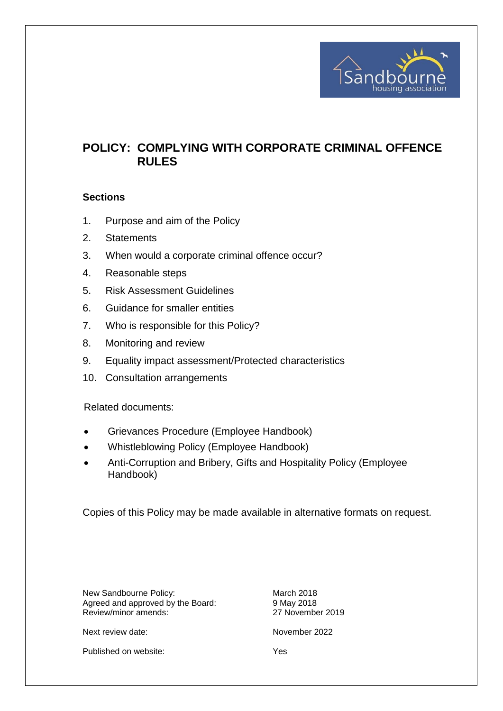

# **POLICY: COMPLYING WITH CORPORATE CRIMINAL OFFENCE RULES**

#### **Sections**

- 1. Purpose and aim of the Policy
- 2. Statements
- 3. When would a corporate criminal offence occur?
- 4. Reasonable steps
- 5. Risk Assessment Guidelines
- 6. Guidance for smaller entities
- 7. Who is responsible for this Policy?
- 8. Monitoring and review
- 9. Equality impact assessment/Protected characteristics
- 10. Consultation arrangements

Related documents:

- Grievances Procedure (Employee Handbook)
- Whistleblowing Policy (Employee Handbook)
- Anti-Corruption and Bribery, Gifts and Hospitality Policy (Employee Handbook)

Copies of this Policy may be made available in alternative formats on request.

New Sandbourne Policy: March 2018 Agreed and approved by the Board: 9 May 2018 Review/minor amends: 27 November 2019

Next review date: November 2022

Published on website: Yes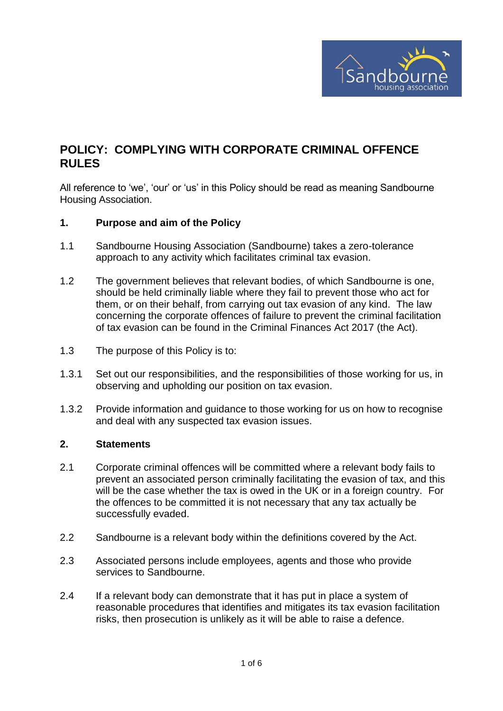

## **POLICY: COMPLYING WITH CORPORATE CRIMINAL OFFENCE RULES**

All reference to 'we', 'our' or 'us' in this Policy should be read as meaning Sandbourne Housing Association.

#### **1. Purpose and aim of the Policy**

- 1.1 Sandbourne Housing Association (Sandbourne) takes a zero-tolerance approach to any activity which facilitates criminal tax evasion.
- 1.2 The government believes that relevant bodies, of which Sandbourne is one, should be held criminally liable where they fail to prevent those who act for them, or on their behalf, from carrying out tax evasion of any kind. The law concerning the corporate offences of failure to prevent the criminal facilitation of tax evasion can be found in the Criminal Finances Act 2017 (the Act).
- 1.3 The purpose of this Policy is to:
- 1.3.1 Set out our responsibilities, and the responsibilities of those working for us, in observing and upholding our position on tax evasion.
- 1.3.2 Provide information and guidance to those working for us on how to recognise and deal with any suspected tax evasion issues.

#### **2. Statements**

- 2.1 Corporate criminal offences will be committed where a relevant body fails to prevent an associated person criminally facilitating the evasion of tax, and this will be the case whether the tax is owed in the UK or in a foreign country. For the offences to be committed it is not necessary that any tax actually be successfully evaded.
- 2.2 Sandbourne is a relevant body within the definitions covered by the Act.
- 2.3 Associated persons include employees, agents and those who provide services to Sandbourne.
- 2.4 If a relevant body can demonstrate that it has put in place a system of reasonable procedures that identifies and mitigates its tax evasion facilitation risks, then prosecution is unlikely as it will be able to raise a defence.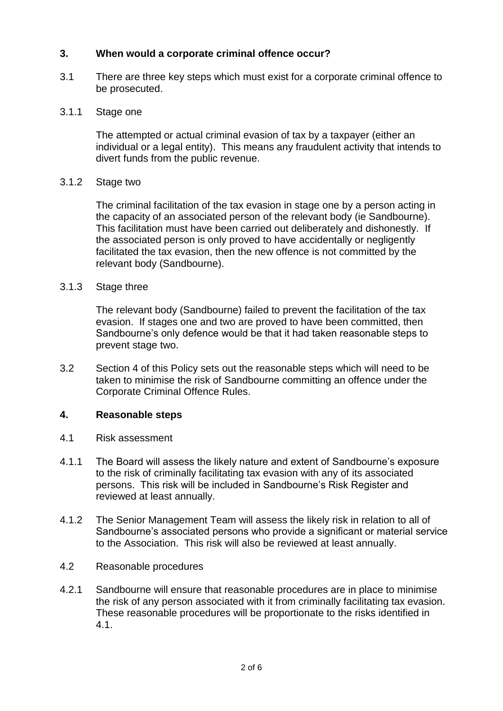## **3. When would a corporate criminal offence occur?**

3.1 There are three key steps which must exist for a corporate criminal offence to be prosecuted.

#### 3.1.1 Stage one

The attempted or actual criminal evasion of tax by a taxpayer (either an individual or a legal entity). This means any fraudulent activity that intends to divert funds from the public revenue.

#### 3.1.2 Stage two

The criminal facilitation of the tax evasion in stage one by a person acting in the capacity of an associated person of the relevant body (ie Sandbourne). This facilitation must have been carried out deliberately and dishonestly. If the associated person is only proved to have accidentally or negligently facilitated the tax evasion, then the new offence is not committed by the relevant body (Sandbourne).

#### 3.1.3 Stage three

The relevant body (Sandbourne) failed to prevent the facilitation of the tax evasion. If stages one and two are proved to have been committed, then Sandbourne's only defence would be that it had taken reasonable steps to prevent stage two.

3.2 Section 4 of this Policy sets out the reasonable steps which will need to be taken to minimise the risk of Sandbourne committing an offence under the Corporate Criminal Offence Rules.

#### **4. Reasonable steps**

- 4.1 Risk assessment
- 4.1.1 The Board will assess the likely nature and extent of Sandbourne's exposure to the risk of criminally facilitating tax evasion with any of its associated persons. This risk will be included in Sandbourne's Risk Register and reviewed at least annually.
- 4.1.2 The Senior Management Team will assess the likely risk in relation to all of Sandbourne's associated persons who provide a significant or material service to the Association. This risk will also be reviewed at least annually.
- 4.2 Reasonable procedures
- 4.2.1 Sandbourne will ensure that reasonable procedures are in place to minimise the risk of any person associated with it from criminally facilitating tax evasion. These reasonable procedures will be proportionate to the risks identified in 4.1.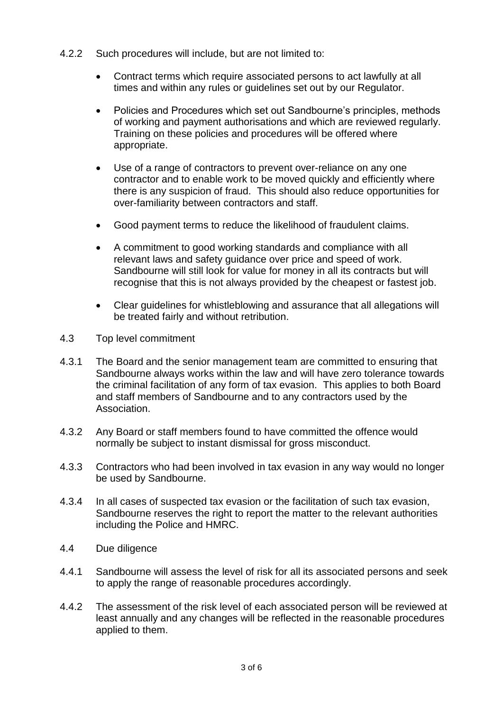- 4.2.2 Such procedures will include, but are not limited to:
	- Contract terms which require associated persons to act lawfully at all times and within any rules or guidelines set out by our Regulator.
	- Policies and Procedures which set out Sandbourne's principles, methods of working and payment authorisations and which are reviewed regularly. Training on these policies and procedures will be offered where appropriate.
	- Use of a range of contractors to prevent over-reliance on any one contractor and to enable work to be moved quickly and efficiently where there is any suspicion of fraud. This should also reduce opportunities for over-familiarity between contractors and staff.
	- Good payment terms to reduce the likelihood of fraudulent claims.
	- A commitment to good working standards and compliance with all relevant laws and safety guidance over price and speed of work. Sandbourne will still look for value for money in all its contracts but will recognise that this is not always provided by the cheapest or fastest job.
	- Clear guidelines for whistleblowing and assurance that all allegations will be treated fairly and without retribution.
- 4.3 Top level commitment
- 4.3.1 The Board and the senior management team are committed to ensuring that Sandbourne always works within the law and will have zero tolerance towards the criminal facilitation of any form of tax evasion. This applies to both Board and staff members of Sandbourne and to any contractors used by the Association.
- 4.3.2 Any Board or staff members found to have committed the offence would normally be subject to instant dismissal for gross misconduct.
- 4.3.3 Contractors who had been involved in tax evasion in any way would no longer be used by Sandbourne.
- 4.3.4 In all cases of suspected tax evasion or the facilitation of such tax evasion, Sandbourne reserves the right to report the matter to the relevant authorities including the Police and HMRC.
- 4.4 Due diligence
- 4.4.1 Sandbourne will assess the level of risk for all its associated persons and seek to apply the range of reasonable procedures accordingly.
- 4.4.2 The assessment of the risk level of each associated person will be reviewed at least annually and any changes will be reflected in the reasonable procedures applied to them.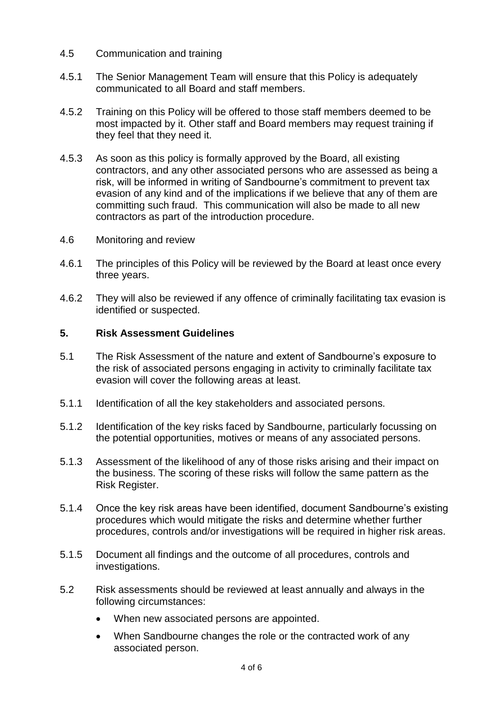- 4.5 Communication and training
- 4.5.1 The Senior Management Team will ensure that this Policy is adequately communicated to all Board and staff members.
- 4.5.2 Training on this Policy will be offered to those staff members deemed to be most impacted by it. Other staff and Board members may request training if they feel that they need it.
- 4.5.3 As soon as this policy is formally approved by the Board, all existing contractors, and any other associated persons who are assessed as being a risk, will be informed in writing of Sandbourne's commitment to prevent tax evasion of any kind and of the implications if we believe that any of them are committing such fraud. This communication will also be made to all new contractors as part of the introduction procedure.
- 4.6 Monitoring and review
- 4.6.1 The principles of this Policy will be reviewed by the Board at least once every three years.
- 4.6.2 They will also be reviewed if any offence of criminally facilitating tax evasion is identified or suspected.

#### **5. Risk Assessment Guidelines**

- 5.1 The Risk Assessment of the nature and extent of Sandbourne's exposure to the risk of associated persons engaging in activity to criminally facilitate tax evasion will cover the following areas at least.
- 5.1.1 Identification of all the key stakeholders and associated persons.
- 5.1.2 Identification of the key risks faced by Sandbourne, particularly focussing on the potential opportunities, motives or means of any associated persons.
- 5.1.3 Assessment of the likelihood of any of those risks arising and their impact on the business. The scoring of these risks will follow the same pattern as the Risk Register.
- 5.1.4 Once the key risk areas have been identified, document Sandbourne's existing procedures which would mitigate the risks and determine whether further procedures, controls and/or investigations will be required in higher risk areas.
- 5.1.5 Document all findings and the outcome of all procedures, controls and investigations.
- 5.2 Risk assessments should be reviewed at least annually and always in the following circumstances:
	- When new associated persons are appointed.
	- When Sandbourne changes the role or the contracted work of any associated person.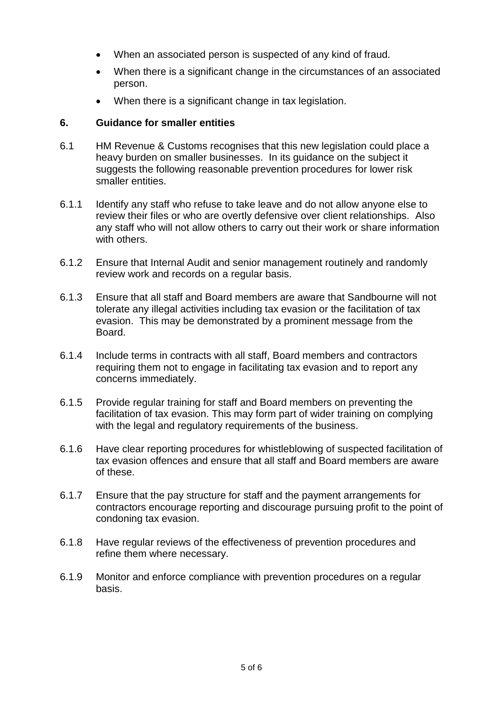- When an associated person is suspected of any kind of fraud.
- When there is a significant change in the circumstances of an associated person.
- When there is a significant change in tax legislation.

### **6. Guidance for smaller entities**

- 6.1 HM Revenue & Customs recognises that this new legislation could place a heavy burden on smaller businesses. In its guidance on the subject it suggests the following reasonable prevention procedures for lower risk smaller entities.
- 6.1.1 Identify any staff who refuse to take leave and do not allow anyone else to review their files or who are overtly defensive over client relationships. Also any staff who will not allow others to carry out their work or share information with others.
- 6.1.2 Ensure that Internal Audit and senior management routinely and randomly review work and records on a regular basis.
- 6.1.3 Ensure that all staff and Board members are aware that Sandbourne will not tolerate any illegal activities including tax evasion or the facilitation of tax evasion. This may be demonstrated by a prominent message from the Board.
- 6.1.4 Include terms in contracts with all staff, Board members and contractors requiring them not to engage in facilitating tax evasion and to report any concerns immediately.
- 6.1.5 Provide regular training for staff and Board members on preventing the facilitation of tax evasion. This may form part of wider training on complying with the legal and regulatory requirements of the business.
- 6.1.6 Have clear reporting procedures for whistleblowing of suspected facilitation of tax evasion offences and ensure that all staff and Board members are aware of these.
- 6.1.7 Ensure that the pay structure for staff and the payment arrangements for contractors encourage reporting and discourage pursuing profit to the point of condoning tax evasion.
- 6.1.8 Have regular reviews of the effectiveness of prevention procedures and refine them where necessary.
- 6.1.9 Monitor and enforce compliance with prevention procedures on a regular basis.